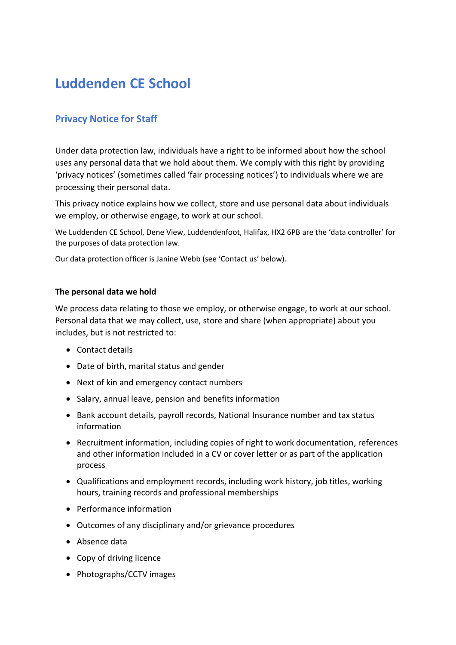# **Luddenden CE School**

## **Privacy Notice for Staff**

Under data protection law, individuals have a right to be informed about how the school uses any personal data that we hold about them. We comply with this right by providing 'privacy notices' (sometimes called 'fair processing notices') to individuals where we are processing their personal data.

This privacy notice explains how we collect, store and use personal data about individuals we employ, or otherwise engage, to work at our school.

We Luddenden CE School, Dene View, Luddendenfoot, Halifax, HX2 6PB are the 'data controller' for the purposes of data protection law.

Our data protection officer is Janine Webb (see 'Contact us' below).

#### **The personal data we hold**

We process data relating to those we employ, or otherwise engage, to work at our school. Personal data that we may collect, use, store and share (when appropriate) about you includes, but is not restricted to:

- Contact details
- Date of birth, marital status and gender
- Next of kin and emergency contact numbers
- Salary, annual leave, pension and benefits information
- Bank account details, payroll records, National Insurance number and tax status information
- Recruitment information, including copies of right to work documentation, references and other information included in a CV or cover letter or as part of the application process
- Qualifications and employment records, including work history, job titles, working hours, training records and professional memberships
- Performance information
- Outcomes of any disciplinary and/or grievance procedures
- Absence data
- Copy of driving licence
- Photographs/CCTV images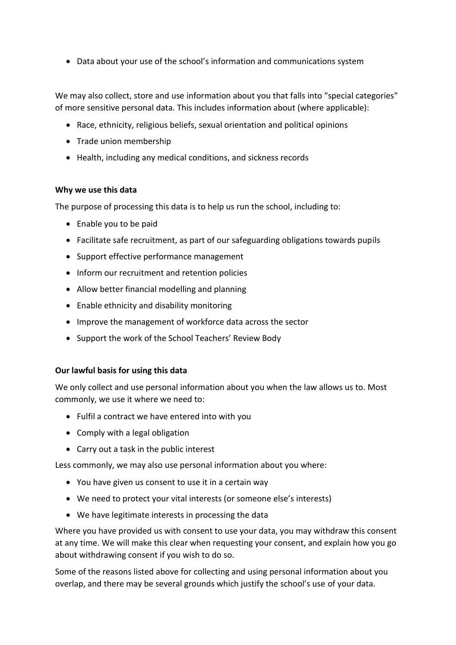• Data about your use of the school's information and communications system

We may also collect, store and use information about you that falls into "special categories" of more sensitive personal data. This includes information about (where applicable):

- Race, ethnicity, religious beliefs, sexual orientation and political opinions
- Trade union membership
- Health, including any medical conditions, and sickness records

## **Why we use this data**

The purpose of processing this data is to help us run the school, including to:

- Enable you to be paid
- Facilitate safe recruitment, as part of our safeguarding obligations towards pupils
- Support effective performance management
- Inform our recruitment and retention policies
- Allow better financial modelling and planning
- Enable ethnicity and disability monitoring
- Improve the management of workforce data across the sector
- Support the work of the School Teachers' Review Body

## **Our lawful basis for using this data**

We only collect and use personal information about you when the law allows us to. Most commonly, we use it where we need to:

- Fulfil a contract we have entered into with you
- Comply with a legal obligation
- Carry out a task in the public interest

Less commonly, we may also use personal information about you where:

- You have given us consent to use it in a certain way
- We need to protect your vital interests (or someone else's interests)
- We have legitimate interests in processing the data

Where you have provided us with consent to use your data, you may withdraw this consent at any time. We will make this clear when requesting your consent, and explain how you go about withdrawing consent if you wish to do so.

Some of the reasons listed above for collecting and using personal information about you overlap, and there may be several grounds which justify the school's use of your data.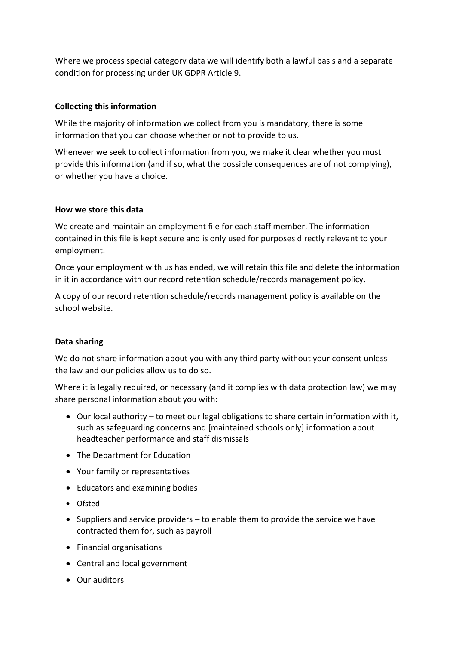Where we process special category data we will identify both a lawful basis and a separate condition for processing under UK GDPR Article 9.

## **Collecting this information**

While the majority of information we collect from you is mandatory, there is some information that you can choose whether or not to provide to us.

Whenever we seek to collect information from you, we make it clear whether you must provide this information (and if so, what the possible consequences are of not complying), or whether you have a choice.

## **How we store this data**

We create and maintain an employment file for each staff member. The information contained in this file is kept secure and is only used for purposes directly relevant to your employment.

Once your employment with us has ended, we will retain this file and delete the information in it in accordance with our record retention schedule/records management policy.

A copy of our record retention schedule/records management policy is available on the school website.

## **Data sharing**

We do not share information about you with any third party without your consent unless the law and our policies allow us to do so.

Where it is legally required, or necessary (and it complies with data protection law) we may share personal information about you with:

- Our local authority to meet our legal obligations to share certain information with it, such as safeguarding concerns and [maintained schools only] information about headteacher performance and staff dismissals
- The Department for Education
- Your family or representatives
- Educators and examining bodies
- Ofsted
- Suppliers and service providers to enable them to provide the service we have contracted them for, such as payroll
- Financial organisations
- Central and local government
- Our auditors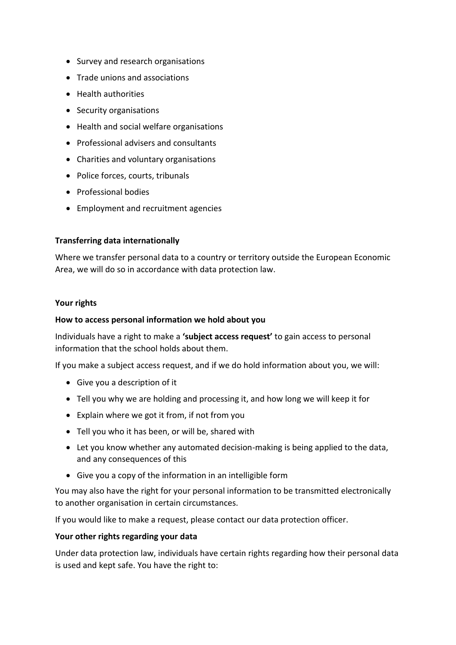- Survey and research organisations
- Trade unions and associations
- Health authorities
- Security organisations
- Health and social welfare organisations
- Professional advisers and consultants
- Charities and voluntary organisations
- Police forces, courts, tribunals
- Professional bodies
- Employment and recruitment agencies

#### **Transferring data internationally**

Where we transfer personal data to a country or territory outside the European Economic Area, we will do so in accordance with data protection law.

#### **Your rights**

#### **How to access personal information we hold about you**

Individuals have a right to make a **'subject access request'** to gain access to personal information that the school holds about them.

If you make a subject access request, and if we do hold information about you, we will:

- Give you a description of it
- Tell you why we are holding and processing it, and how long we will keep it for
- Explain where we got it from, if not from you
- Tell you who it has been, or will be, shared with
- Let you know whether any automated decision-making is being applied to the data, and any consequences of this
- Give you a copy of the information in an intelligible form

You may also have the right for your personal information to be transmitted electronically to another organisation in certain circumstances.

If you would like to make a request, please contact our data protection officer.

#### **Your other rights regarding your data**

Under data protection law, individuals have certain rights regarding how their personal data is used and kept safe. You have the right to: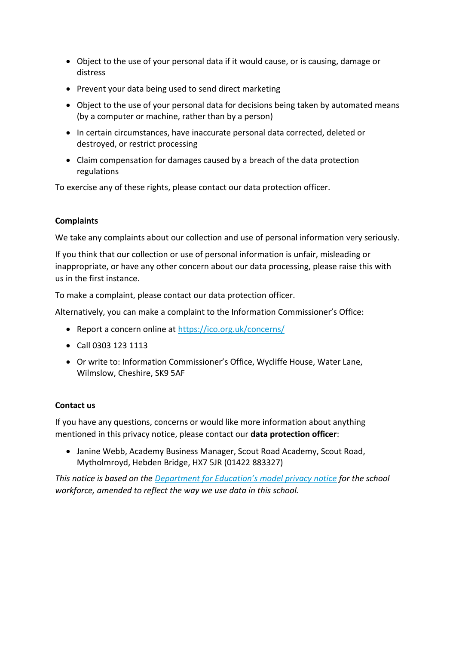- Object to the use of your personal data if it would cause, or is causing, damage or distress
- Prevent your data being used to send direct marketing
- Object to the use of your personal data for decisions being taken by automated means (by a computer or machine, rather than by a person)
- In certain circumstances, have inaccurate personal data corrected, deleted or destroyed, or restrict processing
- Claim compensation for damages caused by a breach of the data protection regulations

To exercise any of these rights, please contact our data protection officer.

## **Complaints**

We take any complaints about our collection and use of personal information very seriously.

If you think that our collection or use of personal information is unfair, misleading or inappropriate, or have any other concern about our data processing, please raise this with us in the first instance.

To make a complaint, please contact our data protection officer.

Alternatively, you can make a complaint to the Information Commissioner's Office:

- Report a concern online at<https://ico.org.uk/concerns/>
- Call 0303 123 1113
- Or write to: Information Commissioner's Office, Wycliffe House, Water Lane, Wilmslow, Cheshire, SK9 5AF

## **Contact us**

If you have any questions, concerns or would like more information about anything mentioned in this privacy notice, please contact our **data protection officer**:

• Janine Webb, Academy Business Manager, Scout Road Academy, Scout Road, Mytholmroyd, Hebden Bridge, HX7 5JR (01422 883327)

*This notice is based on the [Department for Education's model privacy notice](https://www.gov.uk/government/publications/data-protection-and-privacy-privacy-notices) for the school workforce, amended to reflect the way we use data in this school.*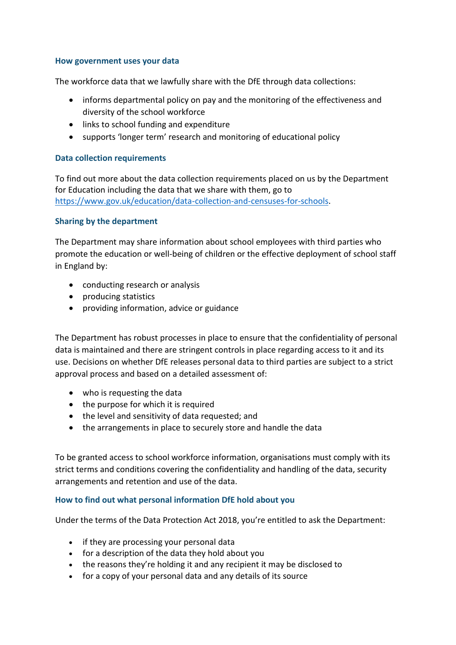#### **How government uses your data**

The workforce data that we lawfully share with the DfE through data collections:

- informs departmental policy on pay and the monitoring of the effectiveness and diversity of the school workforce
- links to school funding and expenditure
- supports 'longer term' research and monitoring of educational policy

## **Data collection requirements**

To find out more about the data collection requirements placed on us by the Department for Education including the data that we share with them, go to [https://www.gov.uk/education/data-collection-and-censuses-for-schools.](https://www.gov.uk/education/data-collection-and-censuses-for-schools)

## **Sharing by the department**

The Department may share information about school employees with third parties who promote the education or well-being of children or the effective deployment of school staff in England by:

- conducting research or analysis
- producing statistics
- providing information, advice or guidance

The Department has robust processes in place to ensure that the confidentiality of personal data is maintained and there are stringent controls in place regarding access to it and its use. Decisions on whether DfE releases personal data to third parties are subject to a strict approval process and based on a detailed assessment of:

- who is requesting the data
- the purpose for which it is required
- the level and sensitivity of data requested; and
- the arrangements in place to securely store and handle the data

To be granted access to school workforce information, organisations must comply with its strict terms and conditions covering the confidentiality and handling of the data, security arrangements and retention and use of the data.

## **How to find out what personal information DfE hold about you**

Under the terms of the Data Protection Act 2018, you're entitled to ask the Department:

- if they are processing your personal data
- for a description of the data they hold about you
- the reasons they're holding it and any recipient it may be disclosed to
- for a copy of your personal data and any details of its source